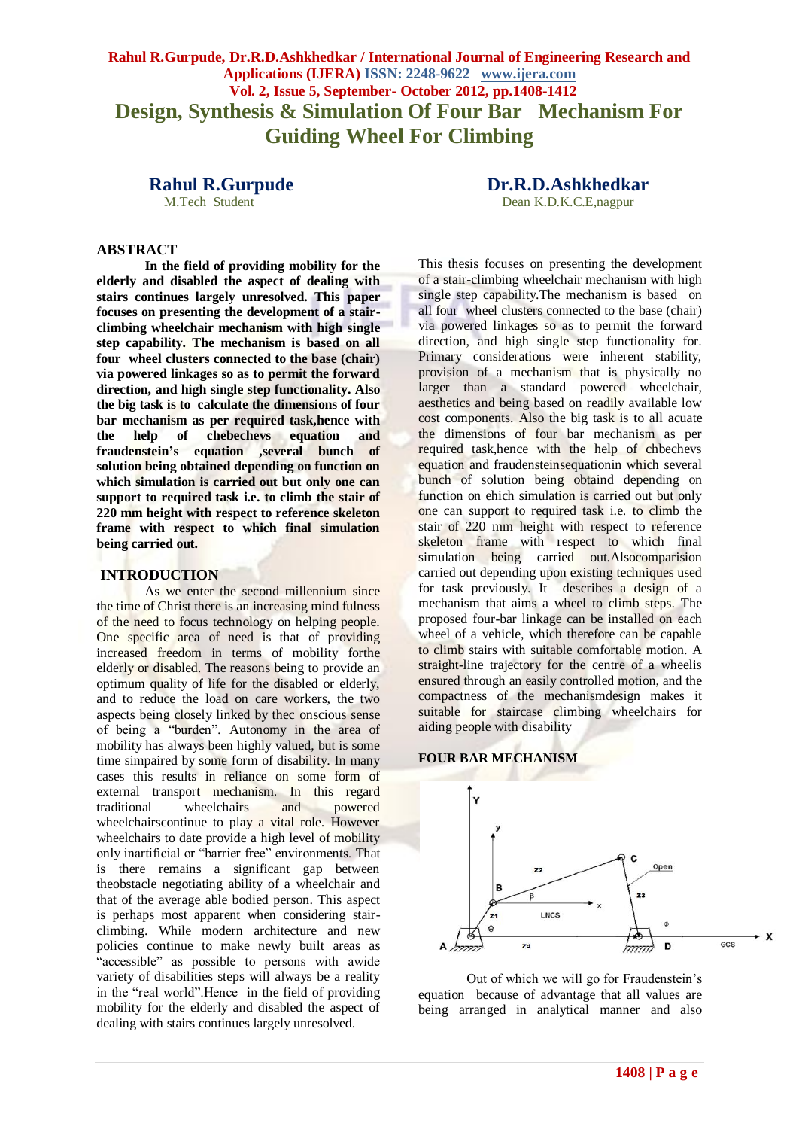**Rahul R.Gurpude, Dr.R.D.Ashkhedkar / International Journal of Engineering Research and Applications (IJERA) ISSN: 2248-9622 www.ijera.com Vol. 2, Issue 5, September- October 2012, pp.1408-1412 Design, Synthesis & Simulation Of Four Bar Mechanism For Guiding Wheel For Climbing**

M.Tech Student **Dean K.D.K.C.E**,nagpur

**Rahul R.Gurpude Dr.R.D.Ashkhedkar**

**ABSTRACT**

**In the field of providing mobility for the elderly and disabled the aspect of dealing with stairs continues largely unresolved. This paper focuses on presenting the development of a stairclimbing wheelchair mechanism with high single step capability. The mechanism is based on all four wheel clusters connected to the base (chair) via powered linkages so as to permit the forward direction, and high single step functionality. Also the big task is to calculate the dimensions of four bar mechanism as per required task,hence with the help of chebechevs equation and fraudenstein's equation ,several bunch of solution being obtained depending on function on which simulation is carried out but only one can support to required task i.e. to climb the stair of 220 mm height with respect to reference skeleton frame with respect to which final simulation being carried out.**

#### **INTRODUCTION**

As we enter the second millennium since the time of Christ there is an increasing mind fulness of the need to focus technology on helping people. One specific area of need is that of providing increased freedom in terms of mobility forthe elderly or disabled. The reasons being to provide an optimum quality of life for the disabled or elderly, and to reduce the load on care workers, the two aspects being closely linked by thec onscious sense of being a "burden". Autonomy in the area of mobility has always been highly valued, but is some time simpaired by some form of disability. In many cases this results in reliance on some form of external transport mechanism. In this regard traditional wheelchairs and powered wheelchairscontinue to play a vital role. However wheelchairs to date provide a high level of mobility only inartificial or "barrier free" environments. That is there remains a significant gap between theobstacle negotiating ability of a wheelchair and that of the average able bodied person. This aspect is perhaps most apparent when considering stairclimbing. While modern architecture and new policies continue to make newly built areas as "accessible" as possible to persons with awide variety of disabilities steps will always be a reality in the "real world".Hence in the field of providing mobility for the elderly and disabled the aspect of dealing with stairs continues largely unresolved.

This thesis focuses on presenting the development of a stair-climbing wheelchair mechanism with high single step capability.The mechanism is based on all four wheel clusters connected to the base (chair) via powered linkages so as to permit the forward direction, and high single step functionality for. Primary considerations were inherent stability, provision of a mechanism that is physically no larger than a standard powered wheelchair, aesthetics and being based on readily available low cost components. Also the big task is to all acuate the dimensions of four bar mechanism as per required task,hence with the help of chbechevs equation and fraudensteinsequationin which several bunch of solution being obtaind depending on function on ehich simulation is carried out but only one can support to required task i.e. to climb the stair of 220 mm height with respect to reference skeleton frame with respect to which final simulation being carried out.Alsocomparision carried out depending upon existing techniques used for task previously. It describes a design of a mechanism that aims a wheel to climb steps. The proposed four-bar linkage can be installed on each wheel of a vehicle, which therefore can be capable to climb stairs with suitable comfortable motion. A straight-line trajectory for the centre of a wheelis ensured through an easily controlled motion, and the compactness of the mechanismdesign makes it suitable for staircase climbing wheelchairs for aiding people with disability

#### **FOUR BAR MECHANISM**



Out of which we will go for Fraudenstein's equation because of advantage that all values are being arranged in analytical manner and also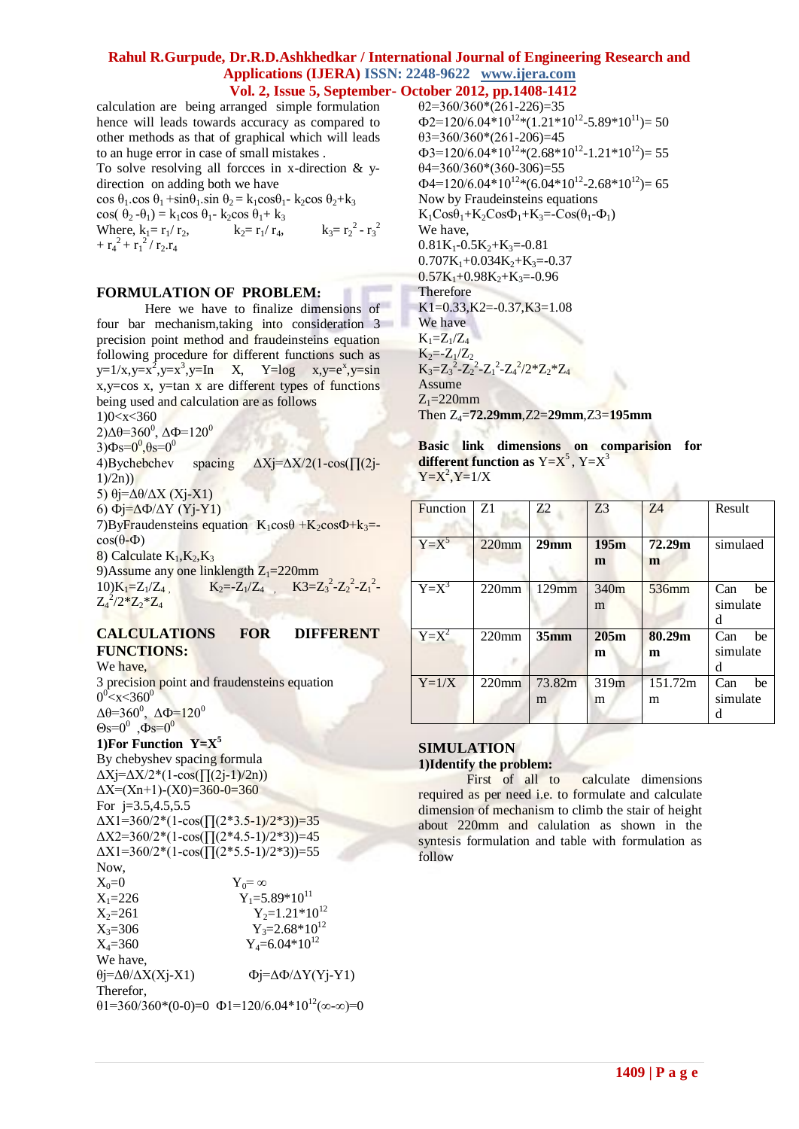calculation are being arranged simple formulation hence will leads towards accuracy as compared to other methods as that of graphical which will leads to an huge error in case of small mistakes .

To solve resolving all forcces in x-direction & ydirection on adding both we have

cos  $\theta_1$ .cos  $\theta_1$  +sin $\theta_1$ .sin  $\theta_2$  = k<sub>1</sub>cos $\theta_1$ - k<sub>2</sub>cos  $\theta_2$ +k<sub>3</sub> cos(  $\theta_2 - \theta_1$ ) = k<sub>1</sub>cos  $\theta_1$ - k<sub>2</sub>cos  $\theta_1$ + k<sub>3</sub> Where,  $k_1 = r_1/r_2$ ,  $k_2 = r_1/r_4$ ,  $^{2}$  -  $r_{3}^{2}$  $+ r_4^2 + r_1^2 / r_2 r_4$ 

## **FORMULATION OF PROBLEM:**

Here we have to finalize dimensions of four bar mechanism,taking into consideration 3 precision point method and fraudeinsteins equation following procedure for different functions such as  $y=1/x, y=x^2, y=x^3, y=In$   $X$ ,  $Y=log$   $x, y=e^x, y=sin$ x,y=cos x, y=tan x are different types of functions being used and calculation are as follows 1)0<x<360 2)Δθ=360<sup>0</sup>, ΔΦ=120<sup>0</sup>  $3)$  $\Phi$ s= $0^0$ , $\theta$ s= $0^0$ 4)Bychebchev spacing ΔXj=ΔX/2(1-cos(∏(2j- $1)/(2n)$ 5) θj=Δθ/ΔX (Xj-X1) 6) Фj=ΔФ/ΔY (Yj-Y1) 7)ByFraudensteins equation  $K_1 \cos\theta + K_2 \cos\Phi + k_3 =$  $cos(θ-Φ)$ 8) Calculate  $K_1, K_2, K_3$ 9)Assume any one linklength  $Z_1=220$ mm 10) $K_1 = Z_1/Z_4$ ,  $K_2 = -Z_1/Z_4$ ,  $K_3 = Z_3^2 - Z_2^2 - Z_1^2$  $Z_4^2/2^*Z_2^*Z_4$ 

### **CALCULATIONS FOR DIFFERENT FUNCTIONS:**

We have, 3 precision point and fraudensteins equation  $0^0$   $\ll$   $\times$  360 $^0$  $\Delta\theta = 360^\circ$ ,  $\Delta\Phi = 120^\circ$  $\Theta$ s=0<sup>0</sup>,  $\Phi$ s=0<sup>0</sup>

**1)For Function Y=X<sup>5</sup>** By chebyshev spacing formula  $\Delta$ Xj= $\Delta$ X/2<sup>\*</sup>(1-cos( $\prod$ (2j-1)/2n))  $\Delta X = (Xn+1)-(X0)=360-0=360$ For j=3.5,4.5,5.5  $\Delta$ X1=360/2\*(1-cos( $\prod(2*3.5-1)/2*3$ ))=35  $\Delta$ X2=360/2\*(1-cos( $\prod$ (2\*4.5-1)/2\*3))=45  $\Delta X1 = 360/2*(1-\cos(\Pi(2*5.5-1)/2*3)) = 55$ Now,  $X_0=0$   $Y_0=\infty$ <br> $X_1=226$   $Y_1=5$ .  $Y_1 = 5.89 * 10^{11}$  $X_2=261$   $Y_2=1.21*10^{12}$  $X_3=306$ <br> $X_4=360$ <br> $Y_3=2.68*10^{12}$ <br> $Y_4=6.04*10^{12}$  $Y_4 = 6.04 * 10^{12}$ We have, θj=Δθ/ΔX(Xj-X1) Фj=ΔФ/ΔY(Yj-Y1) Therefor,  $\theta$ 1=360/360\*(0-0)=0  $\Phi$ 1=120/6.04\*10<sup>12</sup>(∞-∞)=0  $\theta$ 2=360/360\*(261-226)=35  $\Phi$ 2=120/6.04\*10<sup>12</sup>\*(1.21\*10<sup>12</sup>-5.89\*10<sup>11</sup>)=50  $\theta$ 3=360/360\*(261-206)=45  $\Phi$ 3=120/6.04\*10<sup>12</sup>\*(2.68\*10<sup>12</sup>-1.21\*10<sup>12</sup>)= 55  $\theta$ 4=360/360\*(360-306)=55  $\Phi$ 4=120/6.04\*10<sup>12</sup>\*(6.04\*10<sup>12</sup>-2.68\*10<sup>12</sup>)= 65 Now by Fraudeinsteins equations  $K_1Cos\theta_1+K_2Cos\Phi_1+K_3=-Cos(\theta_1-\Phi_1)$ We have,  $0.81K_1 - 0.5K_2 + K_3 = -0.81$  $0.707K_1+0.034K_2+K_3=0.37$  $0.57K_1+0.98K_2+K_3=0.96$ Therefore  $K1=0.33, K2=-0.37, K3=1.08$ We have  $K_1 = Z_1/Z_4$  $K_2 = -Z_1/Z_2$  $K_3 = Z_3^2 - Z_2^2 - Z_1^2 - Z_4^2 / 2 \cdot Z_2 \cdot Z_4$ Assume  $Z_1 = 220$ mm Then Z4=**72.29mm**,Z2=**29mm**,Z3=**195mm**

**Basic link dimensions on comparision for different function as**  $Y=X^5$ ,  $Y=X^3$  $Y = X^2, Y = 1/X$ 

| Function | Z1       | Z2          | Z <sub>3</sub>        | Z <sub>4</sub> | Result                     |
|----------|----------|-------------|-----------------------|----------------|----------------------------|
| $Y=X^5$  | $220$ mm | $29$ mm     | 195m<br>m             | 72.29m<br>m    | simulaed                   |
| $Y=X^3$  | $220$ mm | $129$ mm    | 340 <sub>m</sub><br>m | 536mm          | Can<br>be<br>simulate<br>d |
| $Y=X^2$  | $220$ mm | $35$ mm     | 205m<br>m             | 80.29m<br>m    | Can<br>be<br>simulate<br>d |
| $Y=1/X$  | $220$ mm | 73.82m<br>m | 319m<br>m             | 151.72m<br>m   | Can<br>be<br>simulate      |

ž

### **SIMULATION 1)Identify the problem:**

First of all to calculate dimensions required as per need i.e. to formulate and calculate dimension of mechanism to climb the stair of height about 220mm and calulation as shown in the syntesis formulation and table with formulation as follow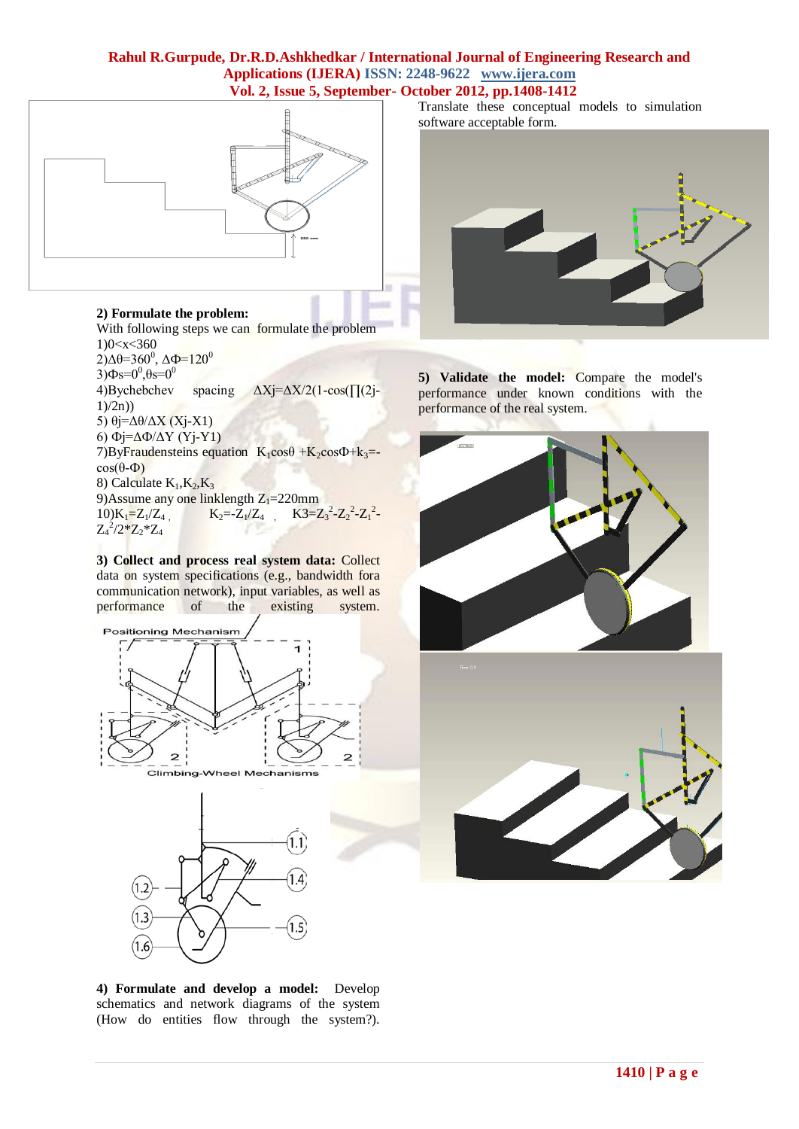

# **2) Formulate the problem:**

With following steps we can formulate the problem 1)0<x<360 2)Δθ=360<sup>0</sup>, ΔΦ=120<sup>0</sup>  $3)$ Φs= $0^0, \theta$ s= $0^0$ 4)Bychebchev spacing ΔXj=ΔX/2(1-cos(∏(2j- $1)/2n$ ) 5)  $\theta$ j=Δ $\theta$ /ΔX (Xj-X1) 6) Фj=ΔФ/ΔY (Yj-Y1) 7)ByFraudensteins equation  $K_1cos\theta + K_2cos\theta + k_3 =$  $cos(\theta - \Phi)$ 8) Calculate  $K_1, K_2, K_3$ 9)Assume any one linklength  $Z_1=220$ mm<br>10)K<sub>1</sub>= $Z_1/Z_4$ , K<sub>2</sub>= $-Z_1/Z_4$ , K3=Z 10) $K_1 = Z_1/Z_4$ ,  $K_2 = -Z_1/Z_4$ ,  $K_3 = Z_3^2 - Z_2^2 - Z_1^2$  $Z_4^2/2^*Z_2^*Z_4$ 

**3) Collect and process real system data:** Collect data on system specifications (e.g., bandwidth fora communication network), input variables, as well as performance of the existing system.



Translate these conceptual models to simulation software acceptable form.



**5) Validate the model:** Compare the model's performance under known conditions with the performance of the real system.





**4) Formulate and develop a model:** Develop schematics and network diagrams of the system (How do entities flow through the system?).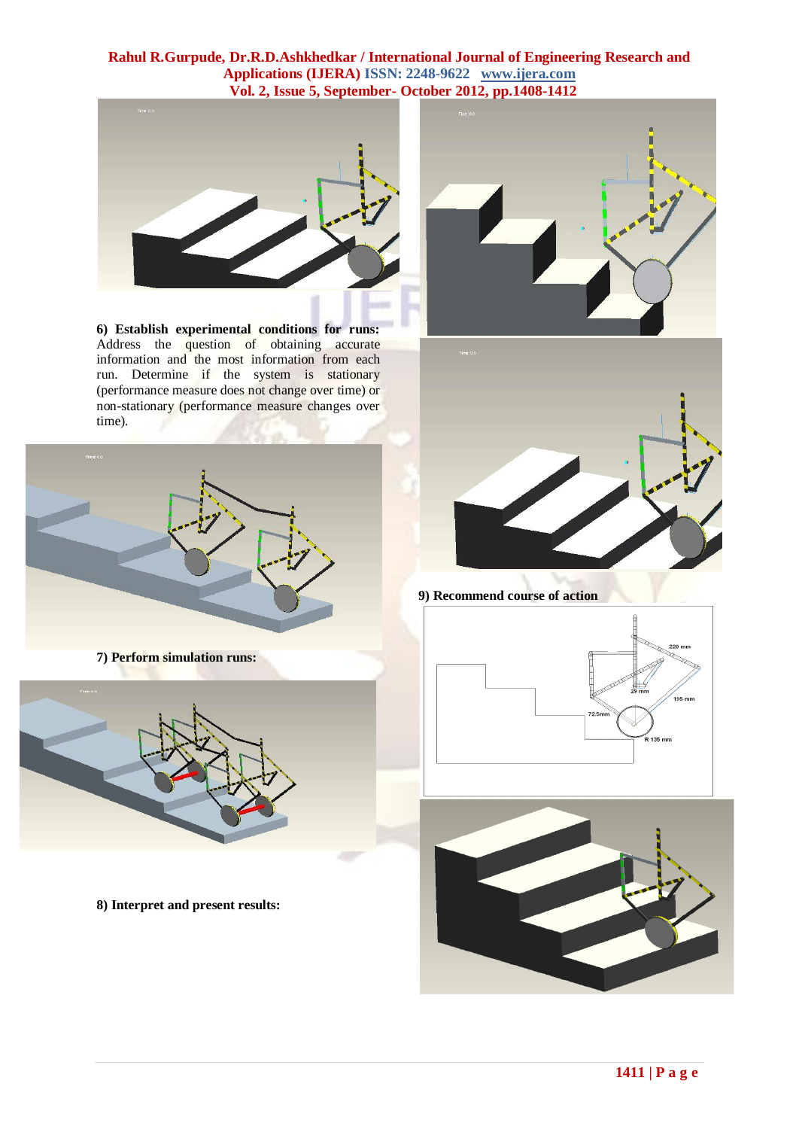

**6) Establish experimental conditions for runs:** Address the question of obtaining accurate information and the most information from each run. Determine if the system is stationary (performance measure does not change over time) or non-stationary (performance measure changes over time).







**9) Recommend course of action**





**7) Perform simulation runs:**



**8) Interpret and present results:**